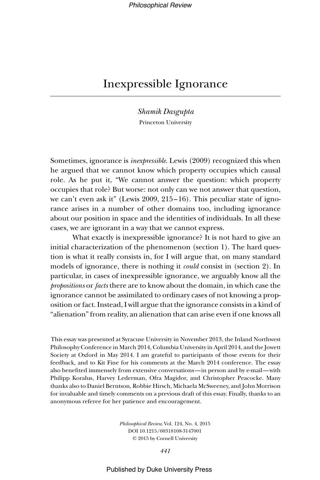# Shamik Dasgupta Princeton University

Sometimes, ignorance is inexpressible. Lewis (2009) recognized this when he argued that we cannot know which property occupies which causal role. As he put it, "We cannot answer the question: which property occupies that role? But worse: not only can we not answer that question, we can't even ask it" (Lewis 2009, 215-16). This peculiar state of ignorance arises in a number of other domains too, including ignorance about our position in space and the identities of individuals. In all these cases, we are ignorant in a way that we cannot express.

What exactly is inexpressible ignorance? It is not hard to give an initial characterization of the phenomenon (section 1). The hard question is what it really consists in, for I will argue that, on many standard models of ignorance, there is nothing it could consist in (section 2). In particular, in cases of inexpressible ignorance, we arguably know all the propositions or facts there are to know about the domain, in which case the ignorance cannot be assimilated to ordinary cases of not knowing a proposition or fact. Instead, I will argue that the ignorance consists in a kind of "alienation" from reality, an alienation that can arise even if one knows all

This essay was presented at Syracuse University in November 2013, the Inland Northwest Philosophy Conference in March 2014, Columbia University in April 2014, and the Jowett Society at Oxford in May 2014. I am grateful to participants of those events for their feedback, and to Kit Fine for his comments at the March 2014 conference. The essay also benefited immensely from extensive conversations—in person and by e-mail—with Philipp Koralus, Harvey Lederman, Ofra Magidor, and Christopher Peacocke. Many thanks also to Daniel Berntson, Robbie Hirsch, Michaela McSweeney, and John Morrison for invaluable and timely comments on a previous draft of this essay. Finally, thanks to an anonymous referee for her patience and encouragement.

> Philosophical Review, Vol. 124, No. 4, 2015 DOI 10.1215/00318108-3147001  $©$  2015 by Cornell University

> > 441

Published by Duke University Press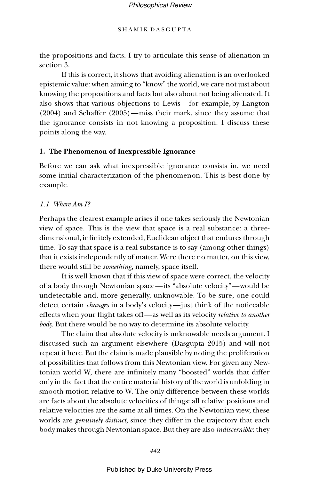the propositions and facts. I try to articulate this sense of alienation in section 3.

If this is correct, it shows that avoiding alienation is an overlooked epistemic value: when aiming to "know" the world, we care not just about knowing the propositions and facts but also about not being alienated. It also shows that various objections to Lewis— for example, by Langton (2004) and Schaffer (2005)—miss their mark, since they assume that the ignorance consists in not knowing a proposition. I discuss these points along the way.

# 1. The Phenomenon of Inexpressible Ignorance

Before we can ask what inexpressible ignorance consists in, we need some initial characterization of the phenomenon. This is best done by example.

# 1.1 Where Am I?

Perhaps the clearest example arises if one takes seriously the Newtonian view of space. This is the view that space is a real substance: a threedimensional, infinitely extended, Euclidean object that endures through time. To say that space is a real substance is to say (among other things) that it exists independently of matter. Were there no matter, on this view, there would still be something, namely, space itself.

It is well known that if this view of space were correct, the velocity of a body through Newtonian space—its "absolute velocity"—would be undetectable and, more generally, unknowable. To be sure, one could detect certain changes in a body's velocity—just think of the noticeable effects when your flight takes off—as well as its velocity relative to another body. But there would be no way to determine its absolute velocity.

The claim that absolute velocity is unknowable needs argument. I discussed such an argument elsewhere (Dasgupta 2015) and will not repeat it here. But the claim is made plausible by noting the proliferation of possibilities that follows from this Newtonian view. For given any Newtonian world W, there are infinitely many "boosted" worlds that differ only in the fact that the entire material history of the world is unfolding in smooth motion relative to W. The only difference between these worlds are facts about the absolute velocities of things: all relative positions and relative velocities are the same at all times. On the Newtonian view, these worlds are *genuinely distinct*, since they differ in the trajectory that each body makes through Newtonian space. But they are also *indiscernible*: they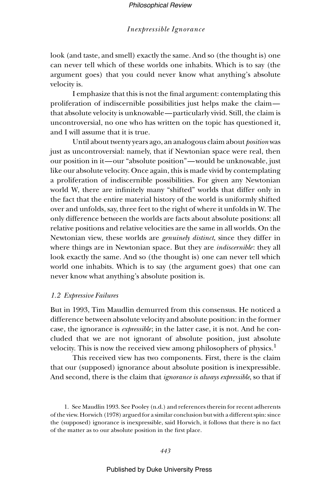look (and taste, and smell) exactly the same. And so (the thought is) one can never tell which of these worlds one inhabits. Which is to say (the argument goes) that you could never know what anything's absolute velocity is.

I emphasize that this is not the final argument: contemplating this proliferation of indiscernible possibilities just helps make the claim that absolute velocity is unknowable—particularly vivid. Still, the claim is uncontroversial, no one who has written on the topic has questioned it, and I will assume that it is true.

Until about twenty years ago, an analogous claim about *position* was just as uncontroversial: namely, that if Newtonian space were real, then our position in it—our "absolute position"—would be unknowable, just like our absolute velocity. Once again, this is made vivid by contemplating a proliferation of indiscernible possibilities. For given any Newtonian world W, there are infinitely many "shifted" worlds that differ only in the fact that the entire material history of the world is uniformly shifted over and unfolds, say, three feet to the right of where it unfolds in W. The only difference between the worlds are facts about absolute positions: all relative positions and relative velocities are the same in all worlds. On the Newtonian view, these worlds are genuinely distinct, since they differ in where things are in Newtonian space. But they are *indiscernible*: they all look exactly the same. And so (the thought is) one can never tell which world one inhabits. Which is to say (the argument goes) that one can never know what anything's absolute position is.

#### 1.2 Expressive Failures

But in 1993, Tim Maudlin demurred from this consensus. He noticed a difference between absolute velocity and absolute position: in the former case, the ignorance is expressible; in the latter case, it is not. And he concluded that we are not ignorant of absolute position, just absolute velocity. This is now the received view among philosophers of physics.<sup>1</sup>

This received view has two components. First, there is the claim that our (supposed) ignorance about absolute position is inexpressible. And second, there is the claim that *ignorance is always expressible*, so that if

1. See Maudlin 1993. See Pooley (n.d.) and references therein for recent adherents of the view. Horwich (1978) argued for a similar conclusion but with a different spin: since the (supposed) ignorance is inexpressible, said Horwich, it follows that there is no fact of the matter as to our absolute position in the first place.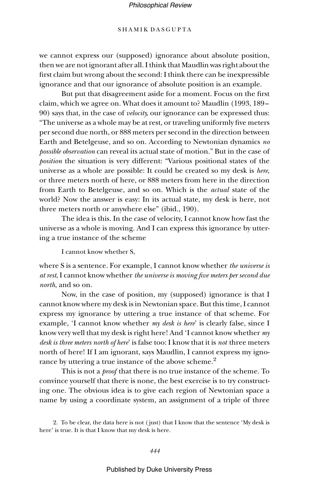we cannot express our (supposed) ignorance about absolute position, then we are not ignorant after all. I think that Maudlin was right about the first claim but wrong about the second: I think there can be inexpressible ignorance and that our ignorance of absolute position is an example.

But put that disagreement aside for a moment. Focus on the first claim, which we agree on. What does it amount to? Maudlin (1993, 189 – 90) says that, in the case of *velocity*, our ignorance can be expressed thus: "The universe as a whole may be at rest, or traveling uniformly five meters per second due north, or 888 meters per second in the direction between Earth and Betelgeuse, and so on. According to Newtonian dynamics no possible observation can reveal its actual state of motion." But in the case of position the situation is very different: "Various positional states of the universe as a whole are possible: It could be created so my desk is *here*, or three meters north of here, or 888 meters from here in the direction from Earth to Betelgeuse, and so on. Which is the actual state of the world? Now the answer is easy: In its actual state, my desk is here, not three meters north or anywhere else" (ibid., 190).

The idea is this. In the case of velocity, I cannot know how fast the universe as a whole is moving. And I can express this ignorance by uttering a true instance of the scheme

I cannot know whether S,

where S is a sentence. For example, I cannot know whether the universe is at rest, I cannot know whether the universe is moving five meters per second due north, and so on.

Now, in the case of position, my (supposed) ignorance is that I cannot know where my desk is in Newtonian space. But this time, I cannot express my ignorance by uttering a true instance of that scheme. For example, 'I cannot know whether my desk is here' is clearly false, since I know very well that my desk is right here! And 'I cannot know whether  $m\gamma$ desk is three meters north of here' is false too: I know that it is not three meters north of here! If I am ignorant, says Maudlin, I cannot express my ignorance by uttering a true instance of the above scheme.<sup>2</sup>

This is not a *proof* that there is no true instance of the scheme. To convince yourself that there is none, the best exercise is to try constructing one. The obvious idea is to give each region of Newtonian space a name by using a coordinate system, an assignment of a triple of three

2. To be clear, the data here is not ( just) that I know that the sentence 'My desk is here' is true. It is that I know that my desk is here.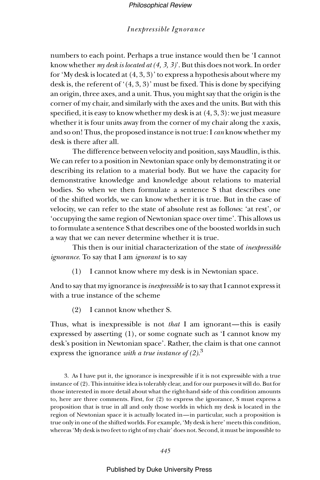numbers to each point. Perhaps a true instance would then be 'I cannot know whether  $my$  desk is located at  $(4, 3, 3)$ . But this does not work. In order for 'My desk is located at (4, 3, 3)' to express a hypothesis about where my desk is, the referent of  $(4, 3, 3)$ ' must be fixed. This is done by specifying an origin, three axes, and a unit. Thus, you might say that the origin is the corner of my chair, and similarly with the axes and the units. But with this specified, it is easy to know whether my desk is at (4, 3, 3): we just measure whether it is four units away from the corner of my chair along the *x* axis, and so on! Thus, the proposed instance is not true: I  $can$  know whether my desk is there after all.

The difference between velocity and position, says Maudlin, is this. We can refer to a position in Newtonian space only by demonstrating it or describing its relation to a material body. But we have the capacity for demonstrative knowledge and knowledge about relations to material bodies. So when we then formulate a sentence S that describes one of the shifted worlds, we can know whether it is true. But in the case of velocity, we can refer to the state of absolute rest as follows: 'at rest', or 'occupying the same region of Newtonian space over time'. This allows us to formulate a sentence S that describes one of the boosted worlds in such a way that we can never determine whether it is true.

This then is our initial characterization of the state of *inexpressible* ignorance. To say that I am *ignorant* is to say

(1) I cannot know where my desk is in Newtonian space.

And to say that my ignorance is *inexpressible* is to say that I cannot express it with a true instance of the scheme

(2) I cannot know whether S.

Thus, what is inexpressible is not *that* I am ignorant—this is easily expressed by asserting (1), or some cognate such as 'I cannot know my desk's position in Newtonian space'. Rather, the claim is that one cannot express the ignorance with a true instance of  $(2)$ .<sup>3</sup>

3. As I have put it, the ignorance is inexpressible if it is not expressible with a true instance of (2). This intuitive idea is tolerably clear, and for our purposes it will do. But for those interested in more detail about what the right-hand side of this condition amounts to, here are three comments. First, for (2) to express the ignorance, S must express a proposition that is true in all and only those worlds in which my desk is located in the region of Newtonian space it is actually located in—in particular, such a proposition is true only in one of the shifted worlds. For example, 'My desk is here' meets this condition, whereas 'My desk is two feet to right of my chair' does not. Second, it must be impossible to

#### 445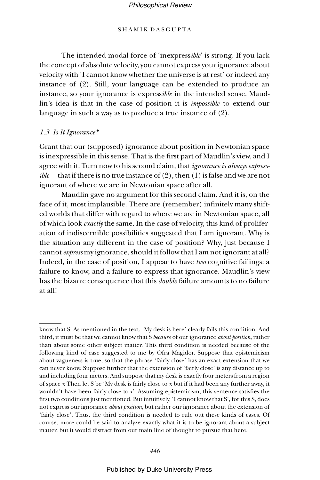The intended modal force of 'inexpressible' is strong. If you lack the concept of absolute velocity, you cannot express your ignorance about velocity with 'I cannot know whether the universe is at rest' or indeed any instance of (2). Still, your language can be extended to produce an instance, so your ignorance is expressible in the intended sense. Maudlin's idea is that in the case of position it is impossible to extend our language in such a way as to produce a true instance of (2).

# 1.3 Is It Ignorance?

Grant that our (supposed) ignorance about position in Newtonian space is inexpressible in this sense. That is the first part of Maudlin's view, and I agree with it. Turn now to his second claim, that ignorance is always express*ible*—that if there is no true instance of  $(2)$ , then  $(1)$  is false and we are not ignorant of where we are in Newtonian space after all.

Maudlin gave no argument for this second claim. And it is, on the face of it, most implausible. There are (remember) infinitely many shifted worlds that differ with regard to where we are in Newtonian space, all of which look exactly the same. In the case of velocity, this kind of proliferation of indiscernible possibilities suggested that I am ignorant. Why is the situation any different in the case of position? Why, just because I cannot express my ignorance, should it follow that I am not ignorant at all? Indeed, in the case of position, I appear to have two cognitive failings: a failure to know, and a failure to express that ignorance. Maudlin's view has the bizarre consequence that this *double* failure amounts to no failure at all!

know that S. As mentioned in the text, 'My desk is here' clearly fails this condition. And third, it must be that we cannot know that S because of our ignorance about position, rather than about some other subject matter. This third condition is needed because of the following kind of case suggested to me by Ofra Magidor. Suppose that epistemicism about vagueness is true, so that the phrase 'fairly close' has an exact extension that we can never know. Suppose further that the extension of 'fairly close' is any distance up to and including four meters. And suppose that my desk is exactly four meters from a region of space  $r$ . Then let S be 'My desk is fairly close to  $r$ , but if it had been any further away, it wouldn't have been fairly close to  $\vec{r}$ . Assuming epistemicism, this sentence satisfies the first two conditions just mentioned. But intuitively, 'I cannot know that S', for this S, does not express our ignorance *about position*, but rather our ignorance about the extension of 'fairly close'. Thus, the third condition is needed to rule out these kinds of cases. Of course, more could be said to analyze exactly what it is to be ignorant about a subject matter, but it would distract from our main line of thought to pursue that here.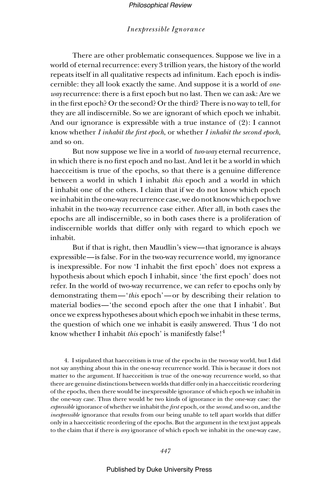There are other problematic consequences. Suppose we live in a world of eternal recurrence: every 3 trillion years, the history of the world repeats itself in all qualitative respects ad infinitum. Each epoch is indiscernible: they all look exactly the same. And suppose it is a world of oneway recurrence: there is a first epoch but no last. Then we can ask: Are we in the first epoch? Or the second? Or the third? There is no way to tell, for they are all indiscernible. So we are ignorant of which epoch we inhabit. And our ignorance is expressible with a true instance of (2): I cannot know whether I inhabit the first epoch, or whether I inhabit the second epoch, and so on.

But now suppose we live in a world of two-way eternal recurrence, in which there is no first epoch and no last. And let it be a world in which haecceitism is true of the epochs, so that there is a genuine difference between a world in which I inhabit this epoch and a world in which I inhabit one of the others. I claim that if we do not know which epoch we inhabit in the one-way recurrence case, we do not know which epoch we inhabit in the two-way recurrence case either. After all, in both cases the epochs are all indiscernible, so in both cases there is a proliferation of indiscernible worlds that differ only with regard to which epoch we inhabit.

But if that is right, then Maudlin's view— that ignorance is always expressible—is false. For in the two-way recurrence world, my ignorance is inexpressible. For now 'I inhabit the first epoch' does not express a hypothesis about which epoch I inhabit, since 'the first epoch' does not refer. In the world of two-way recurrence, we can refer to epochs only by demonstrating them— 'this epoch'—or by describing their relation to material bodies— 'the second epoch after the one that I inhabit'. But once we express hypotheses about which epoch we inhabit in these terms, the question of which one we inhabit is easily answered. Thus 'I do not know whether I inhabit this epoch' is manifestly false! $4$ 

4. I stipulated that haecceitism is true of the epochs in the two-way world, but I did not say anything about this in the one-way recurrence world. This is because it does not matter to the argument. If haecceitism is true of the one-way recurrence world, so that there are genuine distinctions between worlds that differ only in a haecceitistic reordering of the epochs, then there would be inexpressible ignorance of which epoch we inhabit in the one-way case. Thus there would be two kinds of ignorance in the one-way case: the expressible ignorance of whether we inhabit the first epoch, or the second, and so on, and the inexpressible ignorance that results from our being unable to tell apart worlds that differ only in a haecceitistic reordering of the epochs. But the argument in the text just appeals to the claim that if there is *any* ignorance of which epoch we inhabit in the one-way case,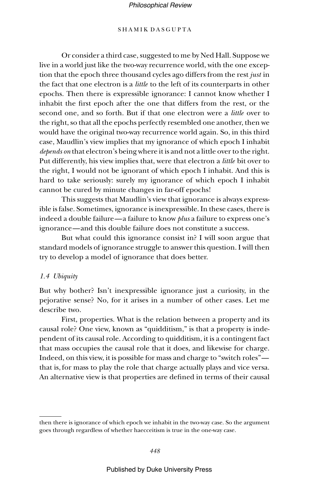Or consider a third case, suggested to me by Ned Hall. Suppose we live in a world just like the two-way recurrence world, with the one exception that the epoch three thousand cycles ago differs from the rest just in the fact that one electron is a little to the left of its counterparts in other epochs. Then there is expressible ignorance: I cannot know whether I inhabit the first epoch after the one that differs from the rest, or the second one, and so forth. But if that one electron were a *little* over to the right, so that all the epochs perfectly resembled one another, then we would have the original two-way recurrence world again. So, in this third case, Maudlin's view implies that my ignorance of which epoch I inhabit depends on that electron's being where it is and not a little over to the right. Put differently, his view implies that, were that electron a *little* bit over to the right, I would not be ignorant of which epoch I inhabit. And this is hard to take seriously: surely my ignorance of which epoch I inhabit cannot be cured by minute changes in far-off epochs!

This suggests that Maudlin's view that ignorance is always expressible is false. Sometimes, ignorance is inexpressible. In these cases, there is indeed a double failure—a failure to know *plus* a failure to express one's ignorance—and this double failure does not constitute a success.

But what could this ignorance consist in? I will soon argue that standard models of ignorance struggle to answer this question. I will then try to develop a model of ignorance that does better.

# 1.4 Ubiquity

But why bother? Isn't inexpressible ignorance just a curiosity, in the pejorative sense? No, for it arises in a number of other cases. Let me describe two.

First, properties. What is the relation between a property and its causal role? One view, known as "quidditism," is that a property is independent of its causal role. According to quidditism, it is a contingent fact that mass occupies the causal role that it does, and likewise for charge. Indeed, on this view, it is possible for mass and charge to "switch roles" that is, for mass to play the role that charge actually plays and vice versa. An alternative view is that properties are defined in terms of their causal

then there is ignorance of which epoch we inhabit in the two-way case. So the argument goes through regardless of whether haecceitism is true in the one-way case.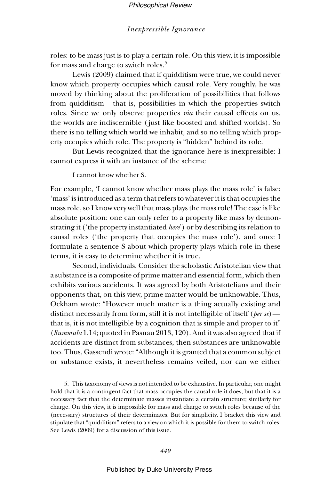roles: to be mass just is to play a certain role. On this view, it is impossible for mass and charge to switch roles.5

Lewis (2009) claimed that if quidditism were true, we could never know which property occupies which causal role. Very roughly, he was moved by thinking about the proliferation of possibilities that follows from quidditism— that is, possibilities in which the properties switch roles. Since we only observe properties via their causal effects on us, the worlds are indiscernible ( just like boosted and shifted worlds). So there is no telling which world we inhabit, and so no telling which property occupies which role. The property is "hidden" behind its role.

But Lewis recognized that the ignorance here is inexpressible: I cannot express it with an instance of the scheme

I cannot know whether S.

For example, 'I cannot know whether mass plays the mass role' is false: 'mass' is introduced as a term that refers to whatever it is that occupies the mass role, so I know very well that mass plays the mass role! The case is like absolute position: one can only refer to a property like mass by demonstrating it ('the property instantiated *here'*) or by describing its relation to causal roles ('the property that occupies the mass role'), and once I formulate a sentence S about which property plays which role in these terms, it is easy to determine whether it is true.

Second, individuals. Consider the scholastic Aristotelian view that a substance is a composite of prime matter and essential form, which then exhibits various accidents. It was agreed by both Aristotelians and their opponents that, on this view, prime matter would be unknowable. Thus, Ockham wrote: "However much matter is a thing actually existing and distinct necessarily from form, still it is not intelligible of itself (*per se*) that is, it is not intelligible by a cognition that is simple and proper to it" (Summula 1.14; quoted in Pasnau 2013, 120). And it was also agreed that if accidents are distinct from substances, then substances are unknowable too. Thus, Gassendi wrote: "Although it is granted that a common subject or substance exists, it nevertheless remains veiled, nor can we either

5. This taxonomy of views is not intended to be exhaustive. In particular, one might hold that it is a contingent fact that mass occupies the causal role it does, but that it is a necessary fact that the determinate masses instantiate a certain structure; similarly for charge. On this view, it is impossible for mass and charge to switch roles because of the (necessary) structures of their determinates. But for simplicity, I bracket this view and stipulate that "quidditism" refers to a view on which it is possible for them to switch roles. See Lewis (2009) for a discussion of this issue.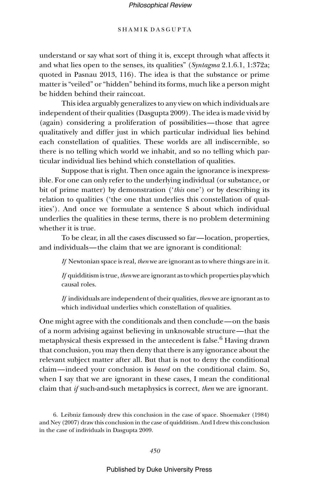understand or say what sort of thing it is, except through what affects it and what lies open to the senses, its qualities" (Syntagma 2.1.6.1, 1:372a; quoted in Pasnau 2013, 116). The idea is that the substance or prime matter is "veiled" or "hidden" behind its forms, much like a person might be hidden behind their raincoat.

This idea arguably generalizes to any view on which individuals are independent of their qualities (Dasgupta 2009). The idea is made vivid by (again) considering a proliferation of possibilities— those that agree qualitatively and differ just in which particular individual lies behind each constellation of qualities. These worlds are all indiscernible, so there is no telling which world we inhabit, and so no telling which particular individual lies behind which constellation of qualities.

Suppose that is right. Then once again the ignorance is inexpressible. For one can only refer to the underlying individual (or substance, or bit of prime matter) by demonstration ('this one') or by describing its relation to qualities ('the one that underlies this constellation of qualities'). And once we formulate a sentence S about which individual underlies the qualities in these terms, there is no problem determining whether it is true.

To be clear, in all the cases discussed so far—location, properties, and individuals— the claim that we are ignorant is conditional:

If Newtonian space is real, then we are ignorant as to where things are in it.

If quidditism is true, then we are ignorant as to which properties play which causal roles.

If individuals are independent of their qualities, then we are ignorant as to which individual underlies which constellation of qualities.

One might agree with the conditionals and then conclude—on the basis of a norm advising against believing in unknowable structure— that the metaphysical thesis expressed in the antecedent is false.<sup>6</sup> Having drawn that conclusion, you may then deny that there is any ignorance about the relevant subject matter after all. But that is not to deny the conditional claim—indeed your conclusion is based on the conditional claim. So, when I say that we are ignorant in these cases, I mean the conditional claim that if such-and-such metaphysics is correct, then we are ignorant.

<sup>6.</sup> Leibniz famously drew this conclusion in the case of space. Shoemaker (1984) and Ney (2007) draw this conclusion in the case of quidditism. And I drew this conclusion in the case of individuals in Dasgupta 2009.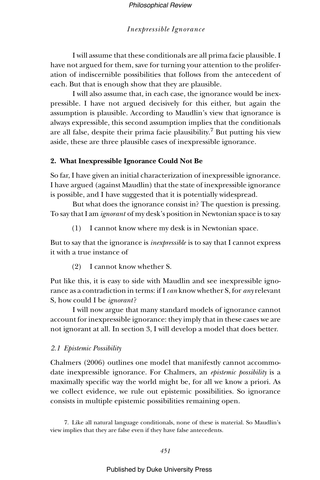I will assume that these conditionals are all prima facie plausible. I have not argued for them, save for turning your attention to the proliferation of indiscernible possibilities that follows from the antecedent of each. But that is enough show that they are plausible.

I will also assume that, in each case, the ignorance would be inexpressible. I have not argued decisively for this either, but again the assumption is plausible. According to Maudlin's view that ignorance is always expressible, this second assumption implies that the conditionals are all false, despite their prima facie plausibility.<sup>7</sup> But putting his view aside, these are three plausible cases of inexpressible ignorance.

# 2. What Inexpressible Ignorance Could Not Be

So far, I have given an initial characterization of inexpressible ignorance. I have argued (against Maudlin) that the state of inexpressible ignorance is possible, and I have suggested that it is potentially widespread.

But what does the ignorance consist in? The question is pressing. To say that I am ignorant of my desk's position in Newtonian space is to say

(1) I cannot know where my desk is in Newtonian space.

But to say that the ignorance is inexpressible is to say that I cannot express it with a true instance of

(2) I cannot know whether S.

Put like this, it is easy to side with Maudlin and see inexpressible ignorance as a contradiction in terms: if I  $can$  know whether S, for any relevant S, how could I be ignorant?

I will now argue that many standard models of ignorance cannot account for inexpressible ignorance: they imply that in these cases we are not ignorant at all. In section 3, I will develop a model that does better.

#### 2.1 Epistemic Possibility

Chalmers (2006) outlines one model that manifestly cannot accommodate inexpressible ignorance. For Chalmers, an epistemic possibility is a maximally specific way the world might be, for all we know a priori. As we collect evidence, we rule out epistemic possibilities. So ignorance consists in multiple epistemic possibilities remaining open.

<sup>7.</sup> Like all natural language conditionals, none of these is material. So Maudlin's view implies that they are false even if they have false antecedents.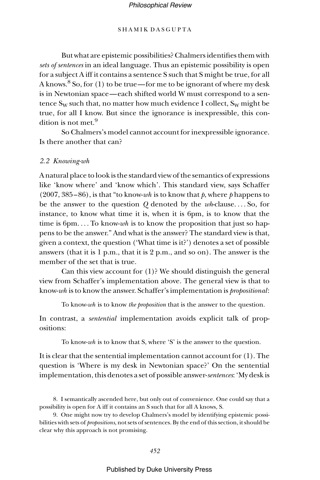But what are epistemic possibilities? Chalmers identifies them with sets of sentences in an ideal language. Thus an epistemic possibility is open for a subject A iff it contains a sentence S such that S might be true, for all A knows.<sup>8</sup> So, for (1) to be true—for me to be ignorant of where my desk is in Newtonian space—each shifted world W must correspond to a sentence  $S_W$  such that, no matter how much evidence I collect,  $S_W$  might be true, for all I know. But since the ignorance is inexpressible, this condition is not met.<sup>9</sup>

So Chalmers's model cannot account for inexpressible ignorance. Is there another that can?

#### 2.2 Knowing-wh

A natural place to look is the standard view of the semantics of expressions like 'know where' and 'know which'. This standard view, says Schaffer (2007, 385-86), is that "to know-wh is to know that  $p$ , where p happens to be the answer to the question  $Q$  denoted by the wh-clause.... So, for instance, to know what time it is, when it is 6pm, is to know that the time is  $6pm$ ... To know-wh is to know the proposition that just so happens to be the answer." And what is the answer? The standard view is that, given a context, the question ('What time is it?') denotes a set of possible answers (that it is 1 p.m., that it is 2 p.m., and so on). The answer is the member of the set that is true.

Can this view account for (1)? We should distinguish the general view from Schaffer's implementation above. The general view is that to know-wh is to know the answer. Schaffer's implementation is *propositional*:

To know-wh is to know the proposition that is the answer to the question.

In contrast, a *sentential* implementation avoids explicit talk of propositions:

To know-wh is to know that S, where 'S' is the answer to the question.

It is clear that the sentential implementation cannot account for (1). The question is 'Where is my desk in Newtonian space?' On the sentential implementation, this denotes a set of possible answer-sentences: 'My desk is

8. I semantically ascended here, but only out of convenience. One could say that a possibility is open for A iff it contains an S such that for all A knows, S.

9. One might now try to develop Chalmers's model by identifying epistemic possibilities with sets of *propositions*, not sets of sentences. By the end of this section, it should be clear why this approach is not promising.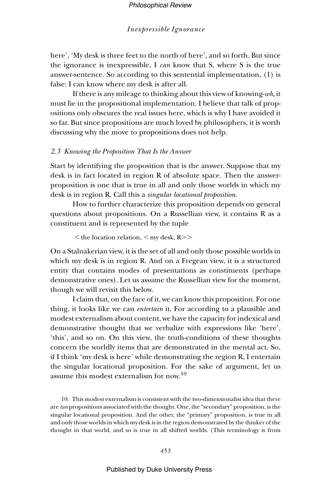here', 'My desk is three feet to the north of here', and so forth. But since the ignorance is inexpressible, I can know that S, where S is the true answer-sentence. So according to this sentential implementation, (1) is false: I can know where my desk is after all.

If there is any mileage to thinking about this view of knowing-wh, it must lie in the propositional implementation. I believe that talk of propositions only obscures the real issues here, which is why I have avoided it so far. But since propositions are much loved by philosophers, it is worth discussing why the move to propositions does not help.

# 2.3 Knowing the Proposition That Is the Answer

Start by identifying the proposition that is the answer. Suppose that my desk is in fact located in region R of absolute space. Then the answerproposition is one that is true in all and only those worlds in which my desk is in region R. Call this a singular locational proposition.

How to further characterize this proposition depends on general questions about propositions. On a Russellian view, it contains R as a constituent and is represented by the tuple

 $\le$  the location relation,  $\le$  my desk, R $\ge$ 

On a Stalnakerian view, it is the set of all and only those possible worlds in which my desk is in region R. And on a Fregean view, it is a structured entity that contains modes of presentations as constituents (perhaps demonstrative ones). Let us assume the Russellian view for the moment, though we will revisit this below.

I claim that, on the face of it, we can know this proposition. For one thing, it looks like we can entertain it. For according to a plausible and modest externalism about content, we have the capacity for indexical and demonstrative thought that we verbalize with expressions like 'here', 'this', and so on. On this view, the truth-conditions of these thoughts concern the worldly items that are demonstrated in the mental act. So, if I think 'my desk is here' while demonstrating the region R, I entertain the singular locational proposition. For the sake of argument, let us assume this modest externalism for now.<sup>10</sup>

10. This modest externalism is consistent with the two-dimensionalist idea that there are two propositions associated with the thought. One, the "secondary" proposition, is the singular locational proposition. And the other, the "primary" proposition, is true in all and only those worlds in which my desk is in the region demonstrated by the thinker of the thought in that world, and so is true in all shifted worlds. (This terminology is from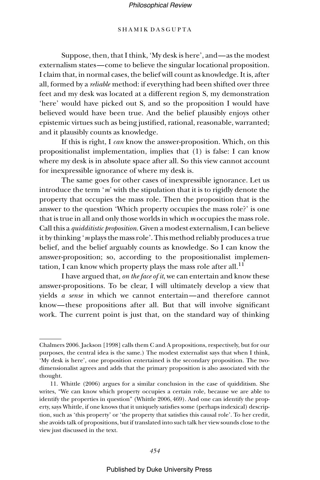#### *Philosophical Review*

#### SHAMIK DASGUPTA

Suppose, then, that I think, 'My desk is here', and—as the modest externalism states—come to believe the singular locational proposition. I claim that, in normal cases, the belief will count as knowledge. It is, after all, formed by a *reliable* method: if everything had been shifted over three feet and my desk was located at a different region S, my demonstration 'here' would have picked out S, and so the proposition I would have believed would have been true. And the belief plausibly enjoys other epistemic virtues such as being justified, rational, reasonable, warranted; and it plausibly counts as knowledge.

If this is right, I can know the answer-proposition. Which, on this propositionalist implementation, implies that (1) is false: I can know where my desk is in absolute space after all. So this view cannot account for inexpressible ignorance of where my desk is.

The same goes for other cases of inexpressible ignorance. Let us introduce the term 'm' with the stipulation that it is to rigidly denote the property that occupies the mass role. Then the proposition that is the answer to the question 'Which property occupies the mass role?' is one that is true in all and only those worlds in which m occupies the mass role. Call this a quidditistic proposition. Given a modest externalism, I can believe it by thinking 'm plays the mass role'. This method reliably produces a true belief, and the belief arguably counts as knowledge. So I can know the answer-proposition; so, according to the propositionalist implementation, I can know which property plays the mass role after all.<sup>11</sup>

I have argued that, on the face of it, we can entertain and know these answer-propositions. To be clear, I will ultimately develop a view that yields a sense in which we cannot entertain—and therefore cannot know— these propositions after all. But that will involve significant work. The current point is just that, on the standard way of thinking

Chalmers 2006. Jackson [1998] calls them C and A propositions, respectively, but for our purposes, the central idea is the same.) The modest externalist says that when I think, 'My desk is here', one proposition entertained is the secondary proposition. The twodimensionalist agrees and adds that the primary proposition is also associated with the thought.

<sup>11.</sup> Whittle (2006) argues for a similar conclusion in the case of quidditism. She writes, "We can know which property occupies a certain role, because we are able to identify the properties in question" (Whittle 2006, 469). And one can identify the property, says Whittle, if one knows that it uniquely satisfies some (perhaps indexical) description, such as 'this property' or 'the property that satisfies this causal role'. To her credit, she avoids talk of propositions, but if translated into such talk her view sounds close to the view just discussed in the text.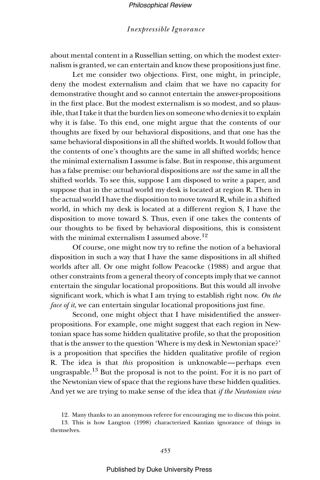about mental content in a Russellian setting, on which the modest externalism is granted, we can entertain and know these propositions just fine.

Let me consider two objections. First, one might, in principle, deny the modest externalism and claim that we have no capacity for demonstrative thought and so cannot entertain the answer-propositions in the first place. But the modest externalism is so modest, and so plausible, that I take it that the burden lies on someone who denies it to explain why it is false. To this end, one might argue that the contents of our thoughts are fixed by our behavioral dispositions, and that one has the same behavioral dispositions in all the shifted worlds. It would follow that the contents of one's thoughts are the same in all shifted worlds; hence the minimal externalism I assume is false. But in response, this argument has a false premise: our behavioral dispositions are not the same in all the shifted worlds. To see this, suppose I am disposed to write a paper, and suppose that in the actual world my desk is located at region R. Then in the actual world I have the disposition to move toward R, while in a shifted world, in which my desk is located at a different region S, I have the disposition to move toward S. Thus, even if one takes the contents of our thoughts to be fixed by behavioral dispositions, this is consistent with the minimal externalism I assumed above.<sup>12</sup>

Of course, one might now try to refine the notion of a behavioral disposition in such a way that I have the same dispositions in all shifted worlds after all. Or one might follow Peacocke (1988) and argue that other constraints from a general theory of concepts imply that we cannot entertain the singular locational propositions. But this would all involve significant work, which is what I am trying to establish right now. On the face of it, we can entertain singular locational propositions just fine.

Second, one might object that I have misidentified the answerpropositions. For example, one might suggest that each region in Newtonian space has some hidden qualitative profile, so that the proposition that is the answer to the question 'Where is my desk in Newtonian space?' is a proposition that specifies the hidden qualitative profile of region R. The idea is that this proposition is unknowable—perhaps even ungraspable.<sup>13</sup> But the proposal is not to the point. For it is no part of the Newtonian view of space that the regions have these hidden qualities. And yet we are trying to make sense of the idea that if the Newtonian view

<sup>12.</sup> Many thanks to an anonymous referee for encouraging me to discuss this point.

<sup>13.</sup> This is how Langton (1998) characterized Kantian ignorance of things in themselves.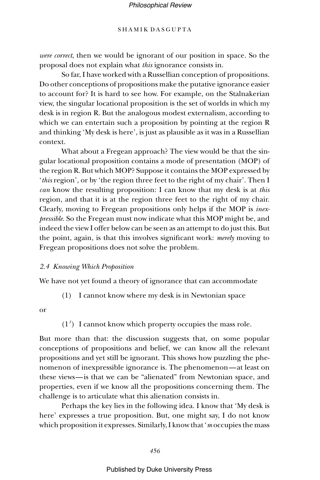were correct, then we would be ignorant of our position in space. So the proposal does not explain what this ignorance consists in.

So far, I have worked with a Russellian conception of propositions. Do other conceptions of propositions make the putative ignorance easier to account for? It is hard to see how. For example, on the Stalnakerian view, the singular locational proposition is the set of worlds in which my desk is in region R. But the analogous modest externalism, according to which we can entertain such a proposition by pointing at the region R and thinking 'My desk is here', is just as plausible as it was in a Russellian context.

What about a Fregean approach? The view would be that the singular locational proposition contains a mode of presentation (MOP) of the region R. But which MOP? Suppose it contains the MOP expressed by 'this region', or by 'the region three feet to the right of my chair'. Then I can know the resulting proposition: I can know that my desk is at this region, and that it is at the region three feet to the right of my chair. Clearly, moving to Fregean propositions only helps if the MOP is inexpressible. So the Fregean must now indicate what this MOP might be, and indeed the view I offer below can be seen as an attempt to do just this. But the point, again, is that this involves significant work: merely moving to Fregean propositions does not solve the problem.

# 2.4 Knowing Which Proposition

We have not yet found a theory of ignorance that can accommodate

(1) I cannot know where my desk is in Newtonian space

or

 $(1')$  I cannot know which property occupies the mass role.

But more than that: the discussion suggests that, on some popular conceptions of propositions and belief, we can know all the relevant propositions and yet still be ignorant. This shows how puzzling the phenomenon of inexpressible ignorance is. The phenomenon—at least on these views—is that we can be "alienated" from Newtonian space, and properties, even if we know all the propositions concerning them. The challenge is to articulate what this alienation consists in.

Perhaps the key lies in the following idea. I know that 'My desk is here' expresses a true proposition. But, one might say, I do not know which proposition it expresses. Similarly, I know that 'm occupies the mass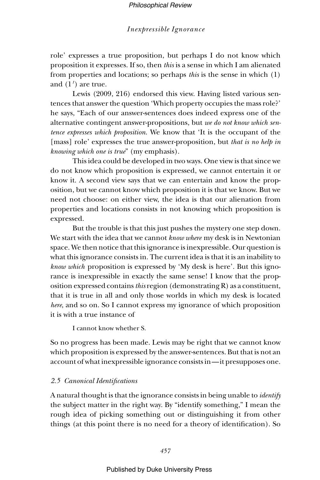role' expresses a true proposition, but perhaps I do not know which proposition it expresses. If so, then this is a sense in which I am alienated from properties and locations; so perhaps this is the sense in which (1) and  $(1')$  are true.

Lewis (2009, 216) endorsed this view. Having listed various sentences that answer the question 'Which property occupies the mass role?' he says, "Each of our answer-sentences does indeed express one of the alternative contingent answer-propositions, but we do not know which sentence expresses which proposition. We know that 'It is the occupant of the [mass] role' expresses the true answer-proposition, but that is no help in knowing which one is true" (my emphasis).

This idea could be developed in two ways. One view is that since we do not know which proposition is expressed, we cannot entertain it or know it. A second view says that we can entertain and know the proposition, but we cannot know which proposition it is that we know. But we need not choose: on either view, the idea is that our alienation from properties and locations consists in not knowing which proposition is expressed.

But the trouble is that this just pushes the mystery one step down. We start with the idea that we cannot know where my desk is in Newtonian space. We then notice that this ignorance is inexpressible. Our question is what this ignorance consists in. The current idea is that it is an inability to know which proposition is expressed by 'My desk is here'. But this ignorance is inexpressible in exactly the same sense! I know that the proposition expressed contains this region (demonstrating  $R$ ) as a constituent, that it is true in all and only those worlds in which my desk is located here, and so on. So I cannot express my ignorance of which proposition it is with a true instance of

I cannot know whether S.

So no progress has been made. Lewis may be right that we cannot know which proposition is expressed by the answer-sentences. But that is not an account of what inexpressible ignorance consists in—it presupposes one.

# 2.5 Canonical Identifications

A natural thought is that the ignorance consists in being unable to *identify* the subject matter in the right way. By "identify something," I mean the rough idea of picking something out or distinguishing it from other things (at this point there is no need for a theory of identification). So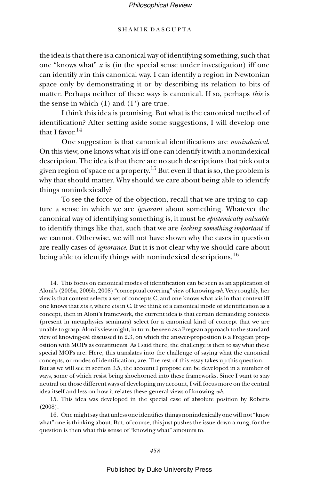the idea is that there is a canonical way of identifying something, such that one "knows what"  $x$  is (in the special sense under investigation) iff one can identify  $x$  in this canonical way. I can identify a region in Newtonian space only by demonstrating it or by describing its relation to bits of matter. Perhaps neither of these ways is canonical. If so, perhaps this is the sense in which  $(1)$  and  $(1')$  are true.

I think this idea is promising. But what is the canonical method of identification? After setting aside some suggestions, I will develop one that I favor  $14$ 

One suggestion is that canonical identifications are nonindexical. On this view, one knows what x is iff one can identify it with a nonindexical description. The idea is that there are no such descriptions that pick out a given region of space or a property.<sup>15</sup> But even if that is so, the problem is why that should matter. Why should we care about being able to identify things nonindexically?

To see the force of the objection, recall that we are trying to capture a sense in which we are *ignorant* about something. Whatever the canonical way of identifying something is, it must be epistemically valuable to identify things like that, such that we are lacking something important if we cannot. Otherwise, we will not have shown why the cases in question are really cases of *ignorance*. But it is not clear why we should care about being able to identify things with nonindexical descriptions.<sup>16</sup>

14. This focus on canonical modes of identification can be seen as an application of Aloni's (2005a, 2005b, 2008) "conceptual covering" view of knowing-wh. Very roughly, her view is that context selects a set of concepts  $C$ , and one knows what  $x$  is in that context iff one knows that x is  $c$ , where  $c$  is in C. If we think of a canonical mode of identification as a concept, then in Aloni's framework, the current idea is that certain demanding contexts (present in metaphysics seminars) select for a canonical kind of concept that we are unable to grasp. Aloni's view might, in turn, be seen as a Fregean approach to the standard view of knowing-wh discussed in 2.3, on which the answer-proposition is a Fregean proposition with MOPs as constituents. As I said there, the challenge is then to say what these special MOPs are. Here, this translates into the challenge of saying what the canonical concepts, or modes of identification, are. The rest of this essay takes up this question. But as we will see in section 3.5, the account I propose can be developed in a number of ways, some of which resist being shoehorned into these frameworks. Since I want to stay neutral on those different ways of developing my account, I will focus more on the central idea itself and less on how it relates these general views of knowing-wh.

15. This idea was developed in the special case of absolute position by Roberts (2008).

16. One might say that unless one identifies things nonindexically one will not "know what" one is thinking about. But, of course, this just pushes the issue down a rung, for the question is then what this sense of "knowing what" amounts to.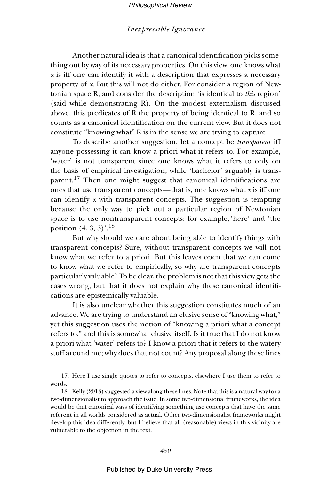Another natural idea is that a canonical identification picks something out by way of its necessary properties. On this view, one knows what  $x$  is iff one can identify it with a description that expresses a necessary property of x. But this will not do either. For consider a region of Newtonian space R, and consider the description 'is identical to this region' (said while demonstrating R). On the modest externalism discussed above, this predicates of R the property of being identical to R, and so counts as a canonical identification on the current view. But it does not constitute "knowing what" R is in the sense we are trying to capture.

To describe another suggestion, let a concept be transparent iff anyone possessing it can know a priori what it refers to. For example, 'water' is not transparent since one knows what it refers to only on the basis of empirical investigation, while 'bachelor' arguably is transparent.<sup>17</sup> Then one might suggest that canonical identifications are ones that use transparent concepts—that is, one knows what  $x$  is iff one can identify  $x$  with transparent concepts. The suggestion is tempting because the only way to pick out a particular region of Newtonian space is to use nontransparent concepts: for example, 'here' and 'the position  $(4, 3, 3)^{18}$ 

But why should we care about being able to identify things with transparent concepts? Sure, without transparent concepts we will not know what we refer to a priori. But this leaves open that we can come to know what we refer to empirically, so why are transparent concepts particularly valuable? To be clear, the problem is not that this view gets the cases wrong, but that it does not explain why these canonical identifications are epistemically valuable.

It is also unclear whether this suggestion constitutes much of an advance. We are trying to understand an elusive sense of "knowing what," yet this suggestion uses the notion of "knowing a priori what a concept refers to," and this is somewhat elusive itself. Is it true that I do not know a priori what 'water' refers to? I know a priori that it refers to the watery stuff around me; why does that not count? Any proposal along these lines

17. Here I use single quotes to refer to concepts, elsewhere I use them to refer to words.

18. Kelly (2013) suggested a view along these lines. Note that this is a natural way for a two-dimensionalist to approach the issue. In some two-dimensional frameworks, the idea would be that canonical ways of identifying something use concepts that have the same referent in all worlds considered as actual. Other two-dimensionalist frameworks might develop this idea differently, but I believe that all (reasonable) views in this vicinity are vulnerable to the objection in the text.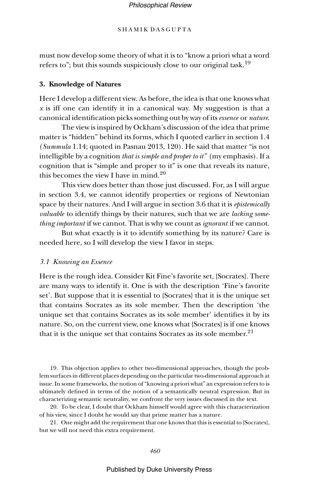must now develop some theory of what it is to "know a priori what a word refers to"; but this sounds suspiciously close to our original task.<sup>19</sup>

#### 3. Knowledge of Natures

Here I develop a different view. As before, the idea is that one knows what  $x$  is iff one can identify it in a canonical way. My suggestion is that a canonical identification picks something out by way of its essence or nature.

The view is inspired by Ockham's discussion of the idea that prime matter is "hidden" behind its forms, which I quoted earlier in section 1.4 (Summula 1.14; quoted in Pasnau 2013, 120). He said that matter "is not intelligible by a cognition that is simple and proper to it" (my emphasis). If a cognition that is "simple and proper to it" is one that reveals its nature, this becomes the view I have in mind.<sup>20</sup>

This view does better than those just discussed. For, as I will argue in section 3.4, we cannot identify properties or regions of Newtonian space by their natures. And I will argue in section 3.6 that it is *epistemically* valuable to identify things by their natures, such that we are *lacking some*thing important if we cannot. That is why we count as ignorant if we cannot.

But what exactly is it to identify something by its nature? Care is needed here, so I will develop the view I favor in steps.

#### 3.1 Knowing an Essence

Here is the rough idea. Consider Kit Fine's favorite set, {Socrates}. There are many ways to identify it. One is with the description 'Fine's favorite set'. But suppose that it is essential to {Socrates} that it is the unique set that contains Socrates as its sole member. Then the description 'the unique set that contains Socrates as its sole member' identifies it by its nature. So, on the current view, one knows what {Socrates} is if one knows that it is the unique set that contains Socrates as its sole member.<sup>21</sup>

19. This objection applies to other two-dimensional approaches, though the problem surfaces in different places depending on the particular two-dimensional approach at issue. In some frameworks, the notion of "knowing a priori what" an expression refers to is ultimately defined in terms of the notion of a semantically neutral expression. But in characterizing semantic neutrality, we confront the very issues discussed in the text.

20. To be clear, I doubt that Ockham himself would agree with this characterization of his view, since I doubt he would say that prime matter has a nature.

21. One might add the requirement that one knows that this is essential to {Socrates}, but we will not need this extra requirement.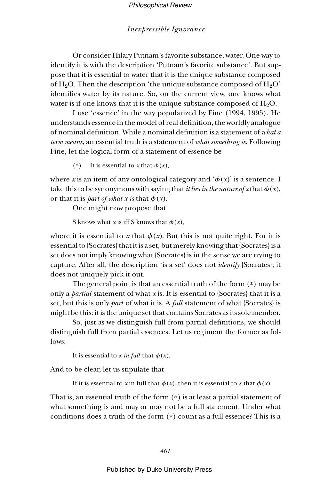Or consider Hilary Putnam's favorite substance, water. One way to identify it is with the description 'Putnam's favorite substance'. But suppose that it is essential to water that it is the unique substance composed of H<sub>2</sub>O. Then the description 'the unique substance composed of  $H_2O'$ ' identifies water by its nature. So, on the current view, one knows what water is if one knows that it is the unique substance composed of  $H_2O$ .

I use 'essence' in the way popularized by Fine (1994, 1995). He understands essence in the model of real definition, the worldly analogue of nominal definition. While a nominal definition is a statement of what a term means, an essential truth is a statement of what something is. Following Fine, let the logical form of a statement of essence be

(\*) It is essential to x that  $\phi(x)$ ,

where x is an item of any ontological category and ' $\phi(x)$ ' is a sentence. I take this to be synonymous with saying that *it lies in the nature of* x that  $\phi(x)$ , or that it is *part of what x is* that  $\phi(x)$ .

One might now propose that

S knows what x is iff S knows that  $\phi(x)$ ,

where it is essential to x that  $\phi(x)$ . But this is not quite right. For it is essential to {Socrates} that it is a set, but merely knowing that {Socrates} is a set does not imply knowing what {Socrates} is in the sense we are trying to capture. After all, the description 'is a set' does not identify {Socrates}; it does not uniquely pick it out.

The general point is that an essential truth of the form (\*) may be only a *partial* statement of what x is. It is essential to {Socrates} that it is a set, but this is only *part* of what it is. A *full* statement of what {Socrates} is might be this: it is the unique set that contains Socrates as its sole member.

So, just as we distinguish full from partial definitions, we should distinguish full from partial essences. Let us regiment the former as follows:

It is essential to x in full that  $\phi(x)$ .

And to be clear, let us stipulate that

If it is essential to x in full that  $\phi(x)$ , then it is essential to x that  $\phi(x)$ .

That is, an essential truth of the form (\*) is at least a partial statement of what something is and may or may not be a full statement. Under what conditions does a truth of the form (\*) count as a full essence? This is a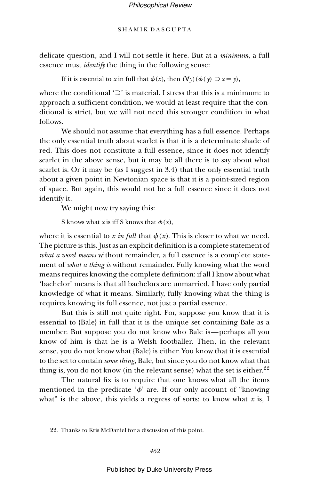delicate question, and I will not settle it here. But at a minimum, a full essence must *identify* the thing in the following sense:

If it is essential to x in full that  $\phi(x)$ , then  $(\forall y)(\phi(y) \supset x = y)$ ,

where the conditional ' $\supset$ ' is material. I stress that this is a minimum: to approach a sufficient condition, we would at least require that the conditional is strict, but we will not need this stronger condition in what follows.

We should not assume that everything has a full essence. Perhaps the only essential truth about scarlet is that it is a determinate shade of red. This does not constitute a full essence, since it does not identify scarlet in the above sense, but it may be all there is to say about what scarlet is. Or it may be (as I suggest in 3.4) that the only essential truth about a given point in Newtonian space is that it is a point-sized region of space. But again, this would not be a full essence since it does not identify it.

We might now try saying this:

S knows what x is iff S knows that  $\phi(x)$ ,

where it is essential to x in full that  $\phi(x)$ . This is closer to what we need. The picture is this. Just as an explicit definition is a complete statement of what a word means without remainder, a full essence is a complete statement of what a thing is without remainder. Fully knowing what the word means requires knowing the complete definition: if all I know about what 'bachelor' means is that all bachelors are unmarried, I have only partial knowledge of what it means. Similarly, fully knowing what the thing is requires knowing its full essence, not just a partial essence.

But this is still not quite right. For, suppose you know that it is essential to {Bale} in full that it is the unique set containing Bale as a member. But suppose you do not know who Bale is—perhaps all you know of him is that he is a Welsh footballer. Then, in the relevant sense, you do not know what {Bale} is either. You know that it is essential to the set to contain some thing, Bale, but since you do not know what that thing is, you do not know (in the relevant sense) what the set is either. $22$ 

The natural fix is to require that one knows what all the items mentioned in the predicate  $\phi$  are. If our only account of "knowing" what" is the above, this yields a regress of sorts: to know what  $x$  is, I

<sup>22.</sup> Thanks to Kris McDaniel for a discussion of this point.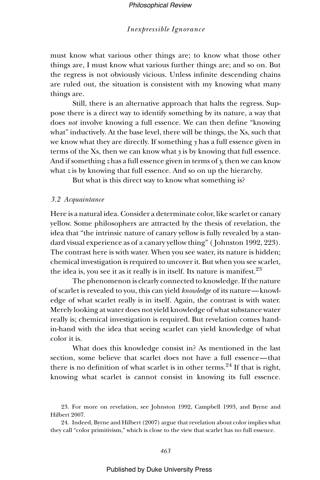must know what various other things are; to know what those other things are, I must know what various further things are; and so on. But the regress is not obviously vicious. Unless infinite descending chains are ruled out, the situation is consistent with my knowing what many things are.

Still, there is an alternative approach that halts the regress. Suppose there is a direct way to identify something by its nature, a way that does not involve knowing a full essence. We can then define "knowing what" inductively. At the base level, there will be things, the Xs, such that we know what they are directly. If something y has a full essence given in terms of the Xs, then we can know what y is by knowing that full essence. And if something z has a full essence given in terms of  $\chi$ , then we can know what z is by knowing that full essence. And so on up the hierarchy.

But what is this direct way to know what something is?

#### 3.2 Acquaintance

Here is a natural idea. Consider a determinate color, like scarlet or canary yellow. Some philosophers are attracted by the thesis of revelation, the idea that "the intrinsic nature of canary yellow is fully revealed by a standard visual experience as of a canary yellow thing" ( Johnston 1992, 223). The contrast here is with water. When you see water, its nature is hidden; chemical investigation is required to uncover it. But when you see scarlet, the idea is, you see it as it really is in itself. Its nature is manifest.<sup>23</sup>

The phenomenon is clearly connected to knowledge. If the nature of scarlet is revealed to you, this can yield knowledge of its nature—knowledge of what scarlet really is in itself. Again, the contrast is with water. Merely looking at water does not yield knowledge of what substance water really is; chemical investigation is required. But revelation comes handin-hand with the idea that seeing scarlet can yield knowledge of what color it is.

What does this knowledge consist in? As mentioned in the last section, some believe that scarlet does not have a full essence— that there is no definition of what scarlet is in other terms.<sup>24</sup> If that is right, knowing what scarlet is cannot consist in knowing its full essence.

<sup>23.</sup> For more on revelation, see Johnston 1992, Campbell 1993, and Byrne and Hilbert 2007.

<sup>24.</sup> Indeed, Byrne and Hilbert (2007) argue that revelation about color implies what they call "color primitivism," which is close to the view that scarlet has no full essence.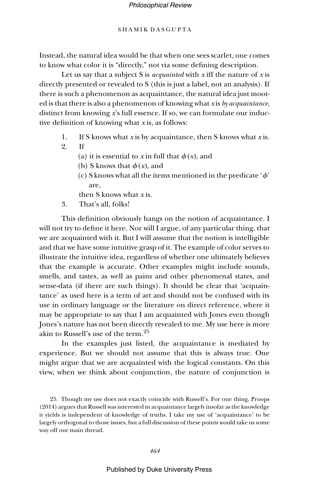Instead, the natural idea would be that when one sees scarlet, one comes to know what color it is "directly," not via some defining description.

Let us say that a subject S is *acquainted* with  $x$  iff the nature of  $x$  is directly presented or revealed to S (this is just a label, not an analysis). If there is such a phenomenon as acquaintance, the natural idea just mooted is that there is also a phenomenon of knowing what x is by acquaintance, distinct from knowing x's full essence. If so, we can formulate our inductive definition of knowing what  $x$  is, as follows:

- 1. If S knows what x is by acquaintance, then S knows what x is.
- 2. If
	- (a) it is essential to x in full that  $\phi(x)$ , and
	- (b) S knows that  $\phi(x)$ , and
	- (c) S knows what all the items mentioned in the predicate  $\phi'$ are,

then S knows what  $x$  is.

3. That's all, folks!

This definition obviously hangs on the notion of acquaintance. I will not try to define it here. Nor will I argue, of any particular thing, that we are acquainted with it. But I will assume that the notion is intelligible and that we have some intuitive grasp of it. The example of color serves to illustrate the intuitive idea, regardless of whether one ultimately believes that the example is accurate. Other examples might include sounds, smells, and tastes, as well as pains and other phenomenal states, and sense-data (if there are such things). It should be clear that 'acquaintance' as used here is a term of art and should not be confused with its use in ordinary language or the literature on direct reference, where it may be appropriate to say that I am acquainted with Jones even though Jones's nature has not been directly revealed to me. My use here is more akin to Russell's use of the term.<sup>25</sup>

In the examples just listed, the acquaintance is mediated by experience. But we should not assume that this is always true. One might argue that we are acquainted with the logical constants. On this view, when we think about conjunction, the nature of conjunction is

25. Though my use does not exactly coincide with Russell's. For one thing, Proops (2014) argues that Russell was interested in acquaintance largely insofar as the knowledge it yields is independent of knowledge of truths. I take my use of 'acquaintance' to be largely orthogonal to those issues, but a full discussion of these points would take us some way off our main thread.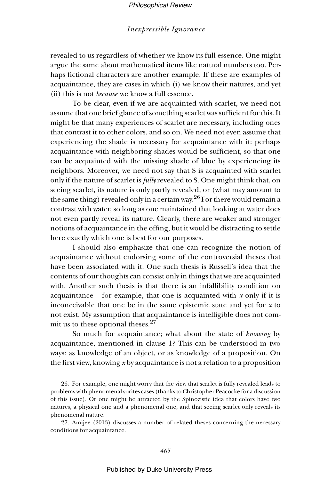revealed to us regardless of whether we know its full essence. One might argue the same about mathematical items like natural numbers too. Perhaps fictional characters are another example. If these are examples of acquaintance, they are cases in which (i) we know their natures, and yet (ii) this is not *because* we know a full essence.

To be clear, even if we are acquainted with scarlet, we need not assume that one brief glance of something scarlet was sufficient for this. It might be that many experiences of scarlet are necessary, including ones that contrast it to other colors, and so on. We need not even assume that experiencing the shade is necessary for acquaintance with it: perhaps acquaintance with neighboring shades would be sufficient, so that one can be acquainted with the missing shade of blue by experiencing its neighbors. Moreover, we need not say that S is acquainted with scarlet only if the nature of scarlet is *fully* revealed to S. One might think that, on seeing scarlet, its nature is only partly revealed, or (what may amount to the same thing) revealed only in a certain way.<sup>26</sup> For there would remain a contrast with water, so long as one maintained that looking at water does not even partly reveal its nature. Clearly, there are weaker and stronger notions of acquaintance in the offing, but it would be distracting to settle here exactly which one is best for our purposes.

I should also emphasize that one can recognize the notion of acquaintance without endorsing some of the controversial theses that have been associated with it. One such thesis is Russell's idea that the contents of our thoughts can consist only in things that we are acquainted with. Another such thesis is that there is an infallibility condition on acquaintance—for example, that one is acquainted with  $x$  only if it is inconceivable that one be in the same epistemic state and yet for  $x$  to not exist. My assumption that acquaintance is intelligible does not commit us to these optional theses.<sup>27</sup>

So much for acquaintance; what about the state of knowing by acquaintance, mentioned in clause 1? This can be understood in two ways: as knowledge of an object, or as knowledge of a proposition. On the first view, knowing  $x$  by acquaintance is not a relation to a proposition

26. For example, one might worry that the view that scarlet is fully revealed leads to problems with phenomenal sorites cases (thanks to Christopher Peacocke for a discussion of this issue). Or one might be attracted by the Spinozistic idea that colors have two natures, a physical one and a phenomenal one, and that seeing scarlet only reveals its phenomenal nature.

27. Amijee (2013) discusses a number of related theses concerning the necessary conditions for acquaintance.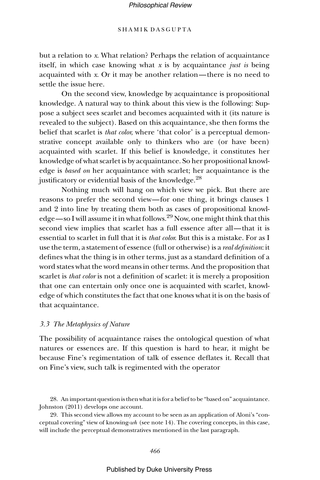but a relation to x. What relation? Perhaps the relation of acquaintance itself, in which case knowing what  $x$  is by acquaintance *just is* being acquainted with x. Or it may be another relation— there is no need to settle the issue here.

On the second view, knowledge by acquaintance is propositional knowledge. A natural way to think about this view is the following: Suppose a subject sees scarlet and becomes acquainted with it (its nature is revealed to the subject). Based on this acquaintance, she then forms the belief that scarlet is *that color*, where 'that color' is a perceptual demonstrative concept available only to thinkers who are (or have been) acquainted with scarlet. If this belief is knowledge, it constitutes her knowledge of what scarlet is by acquaintance. So her propositional knowledge is based on her acquaintance with scarlet; her acquaintance is the justificatory or evidential basis of the knowledge.<sup>28</sup>

Nothing much will hang on which view we pick. But there are reasons to prefer the second view— for one thing, it brings clauses 1 and 2 into line by treating them both as cases of propositional knowledge—so I will assume it in what follows.<sup>29</sup> Now, one might think that this second view implies that scarlet has a full essence after all— that it is essential to scarlet in full that it is that color. But this is a mistake. For as I use the term, a statement of essence (full or otherwise) is a *real definition*: it defines what the thing is in other terms, just as a standard definition of a word states what the word means in other terms. And the proposition that scarlet is *that color* is not a definition of scarlet: it is merely a proposition that one can entertain only once one is acquainted with scarlet, knowledge of which constitutes the fact that one knows what it is on the basis of that acquaintance.

#### 3.3 The Metaphysics of Nature

The possibility of acquaintance raises the ontological question of what natures or essences are. If this question is hard to hear, it might be because Fine's regimentation of talk of essence deflates it. Recall that on Fine's view, such talk is regimented with the operator

<sup>28.</sup> An important question is then what it is for a belief to be "based on" acquaintance. Johnston (2011) develops one account.

<sup>29.</sup> This second view allows my account to be seen as an application of Aloni's "conceptual covering" view of knowing-wh (see note  $14$ ). The covering concepts, in this case, will include the perceptual demonstratives mentioned in the last paragraph.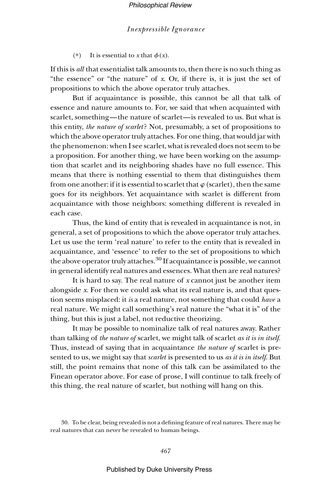(\*) It is essential to x that  $\phi(x)$ .

If this is all that essentialist talk amounts to, then there is no such thing as "the essence" or "the nature" of x. Or, if there is, it is just the set of propositions to which the above operator truly attaches.

But if acquaintance is possible, this cannot be all that talk of essence and nature amounts to. For, we said that when acquainted with scarlet, something— the nature of scarlet—is revealed to us. But what is this entity, the nature of scarlet? Not, presumably, a set of propositions to which the above operator truly attaches. For one thing, that would jar with the phenomenon: when I see scarlet, what is revealed does not seem to be a proposition. For another thing, we have been working on the assumption that scarlet and its neighboring shades have no full essence. This means that there is nothing essential to them that distinguishes them from one another: if it is essential to scarlet that  $\varphi$  (scarlet), then the same goes for its neighbors. Yet acquaintance with scarlet is different from acquaintance with those neighbors: something different is revealed in each case.

Thus, the kind of entity that is revealed in acquaintance is not, in general, a set of propositions to which the above operator truly attaches. Let us use the term 'real nature' to refer to the entity that is revealed in acquaintance, and 'essence' to refer to the set of propositions to which the above operator truly attaches.<sup>30</sup> If acquaintance is possible, we cannot in general identify real natures and essences. What then are real natures?

It is hard to say. The real nature of  $x$  cannot just be another item alongside x. For then we could ask what its real nature is, and that question seems misplaced: it is a real nature, not something that could have a real nature. We might call something's real nature the "what it is" of the thing, but this is just a label, not reductive theorizing.

It may be possible to nominalize talk of real natures away. Rather than talking of the nature of scarlet, we might talk of scarlet as it is in itself. Thus, instead of saying that in acquaintance the nature of scarlet is presented to us, we might say that *scarlet* is presented to us *as it is in itself*. But still, the point remains that none of this talk can be assimilated to the Finean operator above. For ease of prose, I will continue to talk freely of this thing, the real nature of scarlet, but nothing will hang on this.

<sup>30.</sup> To be clear, being revealed is not a defining feature of real natures. There may be real natures that can never be revealed to human beings.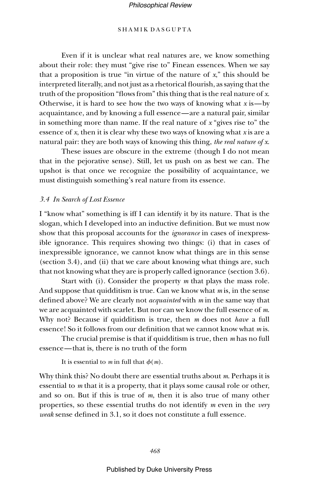#### *Philosophical Review*

#### SHAMIK DASGUPTA

Even if it is unclear what real natures are, we know something about their role: they must "give rise to" Finean essences. When we say that a proposition is true "in virtue of the nature of  $x$ ," this should be interpreted literally, and not just as a rhetorical flourish, as saying that the truth of the proposition "flows from" this thing that is the real nature of x. Otherwise, it is hard to see how the two ways of knowing what  $x$  is —by acquaintance, and by knowing a full essence—are a natural pair, similar in something more than name. If the real nature of  $x$  "gives rise to" the essence of  $x$ , then it is clear why these two ways of knowing what  $x$  is are a natural pair: they are both ways of knowing this thing, the real nature of x.

These issues are obscure in the extreme (though I do not mean that in the pejorative sense). Still, let us push on as best we can. The upshot is that once we recognize the possibility of acquaintance, we must distinguish something's real nature from its essence.

#### 3.4 In Search of Lost Essence

I "know what" something is iff I can identify it by its nature. That is the slogan, which I developed into an inductive definition. But we must now show that this proposal accounts for the *ignorance* in cases of inexpressible ignorance. This requires showing two things: (i) that in cases of inexpressible ignorance, we cannot know what things are in this sense (section 3.4), and (ii) that we care about knowing what things are, such that not knowing what they are is properly called ignorance (section 3.6).

Start with (i). Consider the property  $m$  that plays the mass role. And suppose that quidditism is true. Can we know what  $m$  is, in the sense defined above? We are clearly not *acquainted* with  $m$  in the same way that we are acquainted with scarlet. But nor can we know the full essence of  $m$ . Why not? Because if quidditism is true, then  $m$  does not have a full essence! So it follows from our definition that we cannot know what m is.

The crucial premise is that if quidditism is true, then  *has no full* essence— that is, there is no truth of the form

It is essential to m in full that  $\phi(m)$ .

Why think this? No doubt there are essential truths about  $m$ . Perhaps it is essential to m that it is a property, that it plays some causal role or other, and so on. But if this is true of  $m$ , then it is also true of many other properties, so these essential truths do not identify  $m$  even in the very weak sense defined in 3.1, so it does not constitute a full essence.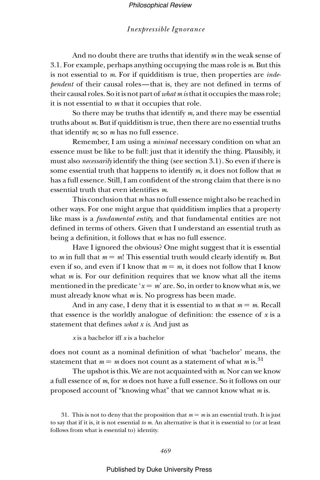And no doubt there are truths that identify  $m$  in the weak sense of 3.1. For example, perhaps anything occupying the mass role is m. But this is not essential to  $m$ . For if quidditism is true, then properties are independent of their causal roles— that is, they are not defined in terms of their causal roles. So it is not part of what m is that it occupies the mass role; it is not essential to m that it occupies that role.

So there may be truths that identify  $m$ , and there may be essential truths about m. But if quidditism is true, then there are no essential truths that identify  $m$ ; so  $m$  has no full essence.

Remember, I am using a *minimal* necessary condition on what an essence must be like to be full: just that it identify the thing. Plausibly, it must also necessarily identify the thing (see section 3.1). So even if there is some essential truth that happens to identify  $m$ , it does not follow that  $m$ has a full essence. Still, I am confident of the strong claim that there is no essential truth that even identifies m.

This conclusion that m has no full essence might also be reached in other ways. For one might argue that quidditism implies that a property like mass is a *fundamental entity*, and that fundamental entities are not defined in terms of others. Given that I understand an essential truth as being a definition, it follows that m has no full essence.

Have I ignored the obvious? One might suggest that it is essential to *m* in full that  $m = m!$  This essential truth would clearly identify *m*. But even if so, and even if I know that  $m = m$ , it does not follow that I know what  $m$  is. For our definition requires that we know what all the items mentioned in the predicate ' $x = m$ ' are. So, in order to know what m is, we must already know what  $m$  is. No progress has been made.

And in any case, I deny that it is essential to m that  $m = m$ . Recall that essence is the worldly analogue of definition: the essence of  $x$  is a statement that defines *what x is*. And just as

 $x$  is a bachelor iff  $x$  is a bachelor

does not count as a nominal definition of what 'bachelor' means, the statement that  $m = m$  does not count as a statement of what m is.<sup>31</sup>

The upshot is this. We are not acquainted with  $m$ . Nor can we know a full essence of m, for m does not have a full essence. So it follows on our proposed account of "knowing what" that we cannot know what  $m$  is.

<sup>31.</sup> This is not to deny that the proposition that  $m = m$  is an essential truth. It is just to say that if it is, it is not essential to  $m$ . An alternative is that it is essential to (or at least follows from what is essential to) identity.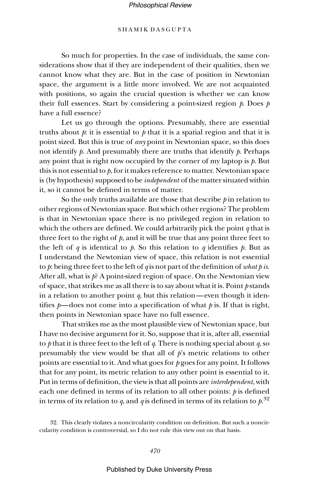So much for properties. In the case of individuals, the same considerations show that if they are independent of their qualities, then we cannot know what they are. But in the case of position in Newtonian space, the argument is a little more involved. We are not acquainted with positions, so again the crucial question is whether we can know their full essences. Start by considering a point-sized region  $p$ . Does  $p$ have a full essence?

Let us go through the options. Presumably, there are essential truths about  $\dot{p}$ : it is essential to  $\dot{p}$  that it is a spatial region and that it is point sized. But this is true of any point in Newtonian space, so this does not identify  $p$ . And presumably there are truths that identify  $p$ . Perhaps any point that is right now occupied by the corner of my laptop is  $\phi$ . But this is not essential to  $p$ , for it makes reference to matter. Newtonian space is (by hypothesis) supposed to be *independent* of the matter situated within it, so it cannot be defined in terms of matter.

So the only truths available are those that describe  $\phi$  in relation to other regions of Newtonian space. But which other regions? The problem is that in Newtonian space there is no privileged region in relation to which the others are defined. We could arbitrarily pick the point  $q$  that is three feet to the right of  $p$ , and it will be true that any point three feet to the left of  $q$  is identical to  $p$ . So this relation to  $q$  identifies  $p$ . But as I understand the Newtonian view of space, this relation is not essential to  $p$ : being three feet to the left of q is not part of the definition of what p is. After all, what is  $p$ ? A point-sized region of space. On the Newtonian view of space, that strikes me as all there is to say about what it is. Point  $p$  stands in a relation to another point  $q$ , but this relation—even though it identifies  $p$ —does not come into a specification of what p is. If that is right, then points in Newtonian space have no full essence.

That strikes me as the most plausible view of Newtonian space, but I have no decisive argument for it. So, suppose that it is, after all, essential to  $p$  that it is three feet to the left of  $q$ . There is nothing special about  $q$ , so presumably the view would be that all of  $\dot{p}$ 's metric relations to other points are essential to it. And what goes for  $p$  goes for any point. It follows that for any point, its metric relation to any other point is essential to it. Put in terms of definition, the view is that all points are *interdependent*, with each one defined in terms of its relation to all other points:  $\hat{p}$  is defined in terms of its relation to q, and q is defined in terms of its relation to  $\rho^{32}$ 

<sup>32.</sup> This clearly violates a noncircularity condition on definition. But such a noncircularity condition is controversial, so I do not rule this view out on that basis.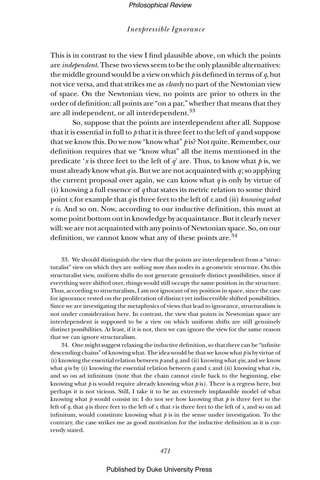This is in contrast to the view I find plausible above, on which the points are independent. These two views seem to be the only plausible alternatives: the middle ground would be a view on which  $p$  is defined in terms of  $q$ , but not vice versa, and that strikes me as clearly no part of the Newtonian view of space. On the Newtonian view, no points are prior to others in the order of definition: all points are "on a par," whether that means that they are all independent, or all interdependent.<sup>33</sup>

So, suppose that the points are interdependent after all. Suppose that it is essential in full to  $p$  that it is three feet to the left of q and suppose that we know this. Do we now "know what"  $p$  is? Not quite. Remember, our definition requires that we "know what" all the items mentioned in the predicate 'x is three feet to the left of  $q'$  are. Thus, to know what p is, we must already know what q is. But we are not acquainted with  $q$ ; so applying the current proposal over again, we can know what  $q$  is only by virtue of (i) knowing a full essence of  $q$  that states its metric relation to some third point r, for example that q is three feet to the left of r, and (ii) knowing what  $r$  is. And so on. Now, according to our inductive definition, this must at some point bottom out in knowledge by acquaintance. But it clearly never will: we are not acquainted with any points of Newtonian space. So, on our definition, we cannot know what any of these points are.<sup>34</sup>

33. We should distinguish the view that the points are interdependent from a "structuralist" view on which they are nothing more than nodes in a geometric structure. On this structuralist view, uniform shifts do not generate genuinely distinct possibilities, since if everything were shifted over, things would still occupy the same position in the structure. Thus, according to structuralism, I am not ignorant of my position in space, since the case for ignorance rested on the proliferation of distinct yet indiscernible shifted possibilities. Since we are investigating the metaphysics of views that lead to ignorance, structuralism is not under consideration here. In contrast, the view that points in Newtonian space are interdependent is supposed to be a view on which uniform shifts are still genuinely distinct possibilities. At least, if it is not, then we can ignore the view for the same reason that we can ignore structuralism.

34. One might suggest relaxing the inductive definition, so that there can be "infinite descending chains" of knowing what. The idea would be that we know what  $p$  is by virtue of (i) knowing the essential relation between  $p$  and  $q$ , and (ii) knowing what  $q$  is; and we know what q is by (i) knowing the essential relation between q and  $r$ , and (ii) knowing what r is, and so on ad infinitum (note that the chain cannot circle back to the beginning, else knowing what  $p$  is would require already knowing what  $p$  is). There is a regress here, but perhaps it is not vicious. Still, I take it to be an extremely implausible model of what knowing what  $p$  would consist in: I do not see how knowing that  $p$  is three feet to the left of  $q$ , that  $q$  is three feet to the left of  $r$ , that  $r$  is three feet to the left of  $s$ , and so on ad infinitum, would constitute knowing what  $\phi$  is in the sense under investigation. To the contrary, the case strikes me as good motivation for the inductive definition as it is currently stated.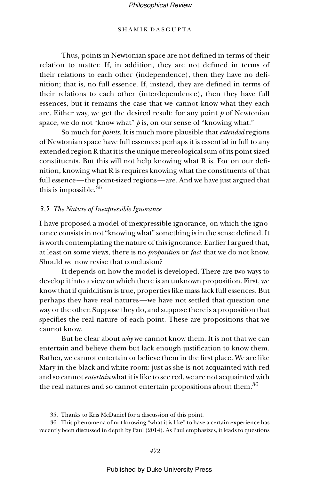Thus, points in Newtonian space are not defined in terms of their relation to matter. If, in addition, they are not defined in terms of their relations to each other (independence), then they have no definition; that is, no full essence. If, instead, they are defined in terms of their relations to each other (interdependence), then they have full essences, but it remains the case that we cannot know what they each are. Either way, we get the desired result: for any point  $p$  of Newtonian space, we do not "know what"  $\phi$  is, on our sense of "knowing what."

So much for *points*. It is much more plausible that *extended* regions of Newtonian space have full essences: perhaps it is essential in full to any extended region R that it is the unique mereological sum of its point-sized constituents. But this will not help knowing what R is. For on our definition, knowing what R is requires knowing what the constituents of that full essence— the point-sized regions—are. And we have just argued that this is impossible.<sup>35</sup>

# 3.5 The Nature of Inexpressible Ignorance

I have proposed a model of inexpressible ignorance, on which the ignorance consists in not "knowing what" something is in the sense defined. It is worth contemplating the nature of this ignorance. Earlier I argued that, at least on some views, there is no *proposition* or *fact* that we do not know. Should we now revise that conclusion?

It depends on how the model is developed. There are two ways to develop it into a view on which there is an unknown proposition. First, we know that if quidditism is true, properties like mass lack full essences. But perhaps they have real natures—we have not settled that question one way or the other. Suppose they do, and suppose there is a proposition that specifies the real nature of each point. These are propositions that we cannot know.

But be clear about why we cannot know them. It is not that we can entertain and believe them but lack enough justification to know them. Rather, we cannot entertain or believe them in the first place. We are like Mary in the black-and-white room: just as she is not acquainted with red and so cannot *entertain* what it is like to see red, we are not acquainted with the real natures and so cannot entertain propositions about them.<sup>36</sup>

35. Thanks to Kris McDaniel for a discussion of this point.

36. This phenomena of not knowing "what it is like" to have a certain experience has recently been discussed in depth by Paul (2014). As Paul emphasizes, it leads to questions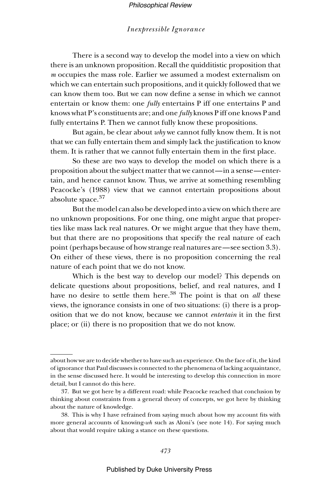There is a second way to develop the model into a view on which there is an unknown proposition. Recall the quidditistic proposition that m occupies the mass role. Earlier we assumed a modest externalism on which we can entertain such propositions, and it quickly followed that we can know them too. But we can now define a sense in which we cannot entertain or know them: one fully entertains P iff one entertains P and knows what P's constituents are; and one fully knows P iff one knows P and fully entertains P. Then we cannot fully know these propositions.

But again, be clear about why we cannot fully know them. It is not that we can fully entertain them and simply lack the justification to know them. It is rather that we cannot fully entertain them in the first place.

So these are two ways to develop the model on which there is a proposition about the subject matter that we cannot—in a sense—entertain, and hence cannot know. Thus, we arrive at something resembling Peacocke's (1988) view that we cannot entertain propositions about absolute space.<sup>37</sup>

But the model can also be developed into a view on which there are no unknown propositions. For one thing, one might argue that properties like mass lack real natures. Or we might argue that they have them, but that there are no propositions that specify the real nature of each point (perhaps because of how strange real natures are—see section 3.3). On either of these views, there is no proposition concerning the real nature of each point that we do not know.

Which is the best way to develop our model? This depends on delicate questions about propositions, belief, and real natures, and I have no desire to settle them here.<sup>38</sup> The point is that on *all* these views, the ignorance consists in one of two situations: (i) there is a proposition that we do not know, because we cannot entertain it in the first place; or (ii) there is no proposition that we do not know.

about how we are to decide whether to have such an experience. On the face of it, the kind of ignorance that Paul discusses is connected to the phenomena of lacking acquaintance, in the sense discussed here. It would be interesting to develop this connection in more detail, but I cannot do this here.

<sup>37.</sup> But we got here by a different road: while Peacocke reached that conclusion by thinking about constraints from a general theory of concepts, we got here by thinking about the nature of knowledge.

<sup>38.</sup> This is why I have refrained from saying much about how my account fits with more general accounts of knowing-wh such as Aloni's (see note 14). For saying much about that would require taking a stance on these questions.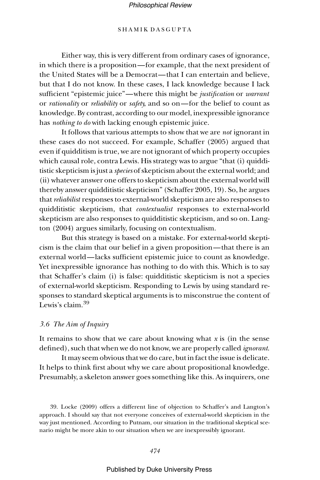Either way, this is very different from ordinary cases of ignorance, in which there is a proposition— for example, that the next president of the United States will be a Democrat— that I can entertain and believe, but that I do not know. In these cases, I lack knowledge because I lack sufficient "epistemic juice"—where this might be *justification* or *warrant* or *rationality* or *reliability* or *safety*, and so on—for the belief to count as knowledge. By contrast, according to our model, inexpressible ignorance has *nothing to do* with lacking enough epistemic juice.

It follows that various attempts to show that we are not ignorant in these cases do not succeed. For example, Schaffer (2005) argued that even if quidditism is true, we are not ignorant of which property occupies which causal role, contra Lewis. His strategy was to argue "that (i) quidditistic skepticism is just a *species* of skepticism about the external world; and (ii) whatever answer one offers to skepticism about the external world will thereby answer quidditistic skepticism" (Schaffer 2005, 19). So, he argues that reliabilist responses to external-world skepticism are also responses to quidditistic skepticism, that *contextualist* responses to external-world skepticism are also responses to quidditistic skepticism, and so on. Langton (2004) argues similarly, focusing on contextualism.

But this strategy is based on a mistake. For external-world skepticism is the claim that our belief in a given proposition— that there is an external world—lacks sufficient epistemic juice to count as knowledge. Yet inexpressible ignorance has nothing to do with this. Which is to say that Schaffer's claim (i) is false: quidditistic skepticism is not a species of external-world skepticism. Responding to Lewis by using standard responses to standard skeptical arguments is to misconstrue the content of Lewis's claim.<sup>39</sup>

# 3.6 The Aim of Inquiry

It remains to show that we care about knowing what  $x$  is (in the sense defined), such that when we do not know, we are properly called *ignorant*.

It may seem obvious that we do care, but in fact the issue is delicate. It helps to think first about why we care about propositional knowledge. Presumably, a skeleton answer goes something like this. As inquirers, one

39. Locke (2009) offers a different line of objection to Schaffer's and Langton's approach. I should say that not everyone conceives of external-world skepticism in the way just mentioned. According to Putnam, our situation in the traditional skeptical scenario might be more akin to our situation when we are inexpressibly ignorant.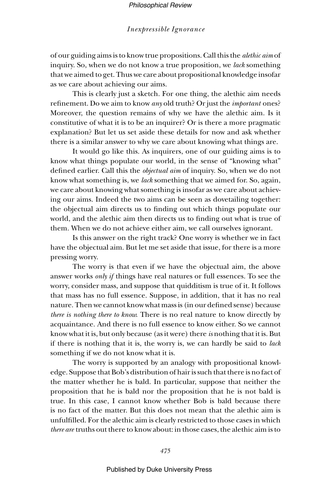of our guiding aims is to know true propositions. Call this the alethic aim of inquiry. So, when we do not know a true proposition, we lack something that we aimed to get. Thus we care about propositional knowledge insofar as we care about achieving our aims.

This is clearly just a sketch. For one thing, the alethic aim needs refinement. Do we aim to know any old truth? Or just the important ones? Moreover, the question remains of why we have the alethic aim. Is it constitutive of what it is to be an inquirer? Or is there a more pragmatic explanation? But let us set aside these details for now and ask whether there is a similar answer to why we care about knowing what things are.

It would go like this. As inquirers, one of our guiding aims is to know what things populate our world, in the sense of "knowing what" defined earlier. Call this the objectual aim of inquiry. So, when we do not know what something is, we lack something that we aimed for. So, again, we care about knowing what something is insofar as we care about achieving our aims. Indeed the two aims can be seen as dovetailing together: the objectual aim directs us to finding out which things populate our world, and the alethic aim then directs us to finding out what is true of them. When we do not achieve either aim, we call ourselves ignorant.

Is this answer on the right track? One worry is whether we in fact have the objectual aim. But let me set aside that issue, for there is a more pressing worry.

The worry is that even if we have the objectual aim, the above answer works only if things have real natures or full essences. To see the worry, consider mass, and suppose that quidditism is true of it. It follows that mass has no full essence. Suppose, in addition, that it has no real nature. Then we cannot know what mass is (in our defined sense) because there is nothing there to know. There is no real nature to know directly by acquaintance. And there is no full essence to know either. So we cannot know what it is, but only because (as it were) there is nothing that it is. But if there is nothing that it is, the worry is, we can hardly be said to lack something if we do not know what it is.

The worry is supported by an analogy with propositional knowledge. Suppose that Bob's distribution of hair is such that there is no fact of the matter whether he is bald. In particular, suppose that neither the proposition that he is bald nor the proposition that he is not bald is true. In this case, I cannot know whether Bob is bald because there is no fact of the matter. But this does not mean that the alethic aim is unfulfilled. For the alethic aim is clearly restricted to those cases in which there are truths out there to know about: in those cases, the alethic aim is to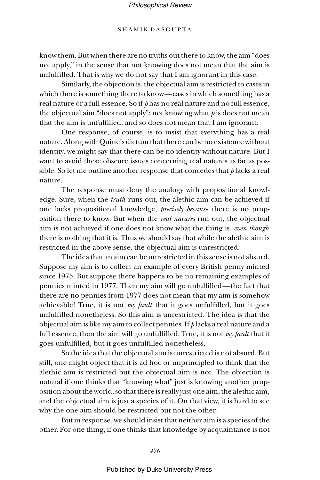know them. But when there are no truths out there to know, the aim "does not apply," in the sense that not knowing does not mean that the aim is unfulfilled. That is why we do not say that I am ignorant in this case.

Similarly, the objection is, the objectual aim is restricted to cases in which there is something there to know—cases in which something has a real nature or a full essence. So if  $p$  has no real nature and no full essence, the objectual aim "does not apply": not knowing what  $p$  is does not mean that the aim is unfulfilled, and so does not mean that I am ignorant.

One response, of course, is to insist that everything has a real nature. Along with Quine's dictum that there can be no existence without identity, we might say that there can be no identity without nature. But I want to avoid these obscure issues concerning real natures as far as possible. So let me outline another response that concedes that  $p$  lacks a real nature.

The response must deny the analogy with propositional knowledge. Sure, when the *truth* runs out, the alethic aim can be achieved if one lacks propositional knowledge, precisely because there is no proposition there to know. But when the real natures run out, the objectual aim is not achieved if one does not know what the thing is, even though there is nothing that it is. Thus we should say that while the alethic aim is restricted in the above sense, the objectual aim is unrestricted.

The idea that an aim can be unrestricted in this sense is not absurd. Suppose my aim is to collect an example of every British penny minted since 1975. But suppose there happens to be no remaining examples of pennies minted in 1977. Then my aim will go unfulfilled— the fact that there are no pennies from 1977 does not mean that my aim is somehow achievable! True, it is not my fault that it goes unfulfilled, but it goes unfulfilled nonetheless. So this aim is unrestricted. The idea is that the objectual aim is like my aim to collect pennies. If  $p$  lacks a real nature and a full essence, then the aim will go unfulfilled. True, it is not my fault that it goes unfulfilled, but it goes unfulfilled nonetheless.

So the idea that the objectual aim is unrestricted is not absurd. But still, one might object that it is ad hoc or unprincipled to think that the alethic aim is restricted but the objectual aim is not. The objection is natural if one thinks that "knowing what" just is knowing another proposition about the world, so that there is really just one aim, the alethic aim, and the objectual aim is just a species of it. On that view, it is hard to see why the one aim should be restricted but not the other.

But in response, we should insist that neither aim is a species of the other. For one thing, if one thinks that knowledge by acquaintance is not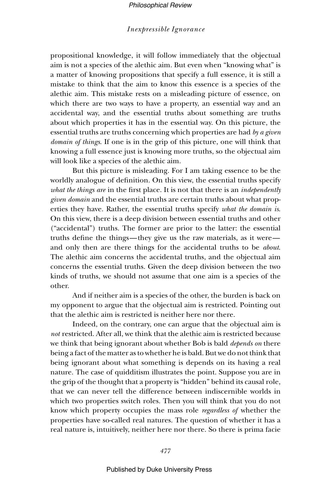propositional knowledge, it will follow immediately that the objectual aim is not a species of the alethic aim. But even when "knowing what" is a matter of knowing propositions that specify a full essence, it is still a mistake to think that the aim to know this essence is a species of the alethic aim. This mistake rests on a misleading picture of essence, on which there are two ways to have a property, an essential way and an accidental way, and the essential truths about something are truths about which properties it has in the essential way. On this picture, the essential truths are truths concerning which properties are had by a given domain of things. If one is in the grip of this picture, one will think that knowing a full essence just is knowing more truths, so the objectual aim will look like a species of the alethic aim.

But this picture is misleading. For I am taking essence to be the worldly analogue of definition. On this view, the essential truths specify what the things are in the first place. It is not that there is an independently given domain and the essential truths are certain truths about what properties they have. Rather, the essential truths specify what the domain is. On this view, there is a deep division between essential truths and other ("accidental") truths. The former are prior to the latter: the essential truths define the things— they give us the raw materials, as it were and only then are there things for the accidental truths to be about. The alethic aim concerns the accidental truths, and the objectual aim concerns the essential truths. Given the deep division between the two kinds of truths, we should not assume that one aim is a species of the other.

And if neither aim is a species of the other, the burden is back on my opponent to argue that the objectual aim is restricted. Pointing out that the alethic aim is restricted is neither here nor there.

Indeed, on the contrary, one can argue that the objectual aim is not restricted. After all, we think that the alethic aim is restricted because we think that being ignorant about whether Bob is bald depends on there being a fact of the matter as to whether he is bald. But we do not think that being ignorant about what something is depends on its having a real nature. The case of quidditism illustrates the point. Suppose you are in the grip of the thought that a property is "hidden" behind its causal role, that we can never tell the difference between indiscernible worlds in which two properties switch roles. Then you will think that you do not know which property occupies the mass role regardless of whether the properties have so-called real natures. The question of whether it has a real nature is, intuitively, neither here nor there. So there is prima facie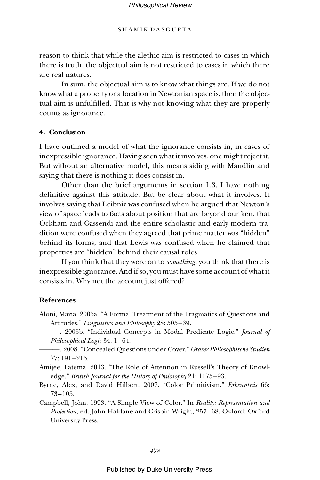reason to think that while the alethic aim is restricted to cases in which there is truth, the objectual aim is not restricted to cases in which there are real natures.

In sum, the objectual aim is to know what things are. If we do not know what a property or a location in Newtonian space is, then the objectual aim is unfulfilled. That is why not knowing what they are properly counts as ignorance.

# 4. Conclusion

I have outlined a model of what the ignorance consists in, in cases of inexpressible ignorance. Having seen what it involves, one might reject it. But without an alternative model, this means siding with Maudlin and saying that there is nothing it does consist in.

Other than the brief arguments in section 1.3, I have nothing definitive against this attitude. But be clear about what it involves. It involves saying that Leibniz was confused when he argued that Newton's view of space leads to facts about position that are beyond our ken, that Ockham and Gassendi and the entire scholastic and early modern tradition were confused when they agreed that prime matter was "hidden" behind its forms, and that Lewis was confused when he claimed that properties are "hidden" behind their causal roles.

If you think that they were on to something, you think that there is inexpressible ignorance. And if so, you must have some account of what it consists in. Why not the account just offered?

# References

- Aloni, Maria. 2005a. "A Formal Treatment of the Pragmatics of Questions and Attitudes." Linguistics and Philosophy 28: 505 –39.
	- 2005b. "Individual Concepts in Modal Predicate Logic." Journal of Philosophical Logic 34: 1 –64.
- 2008. "Concealed Questions under Cover." Grazer Philosophische Studien 77: 191 –216.
- Amijee, Fatema. 2013. "The Role of Attention in Russell's Theory of Knowledge." British Journal for the History of Philosophy 21: 1175–93.
- Byrne, Alex, and David Hilbert. 2007. "Color Primitivism." Erkenntnis 66: 73–105.
- Campbell, John. 1993. "A Simple View of Color." In Reality: Representation and Projection, ed. John Haldane and Crispin Wright, 257–68. Oxford: Oxford University Press.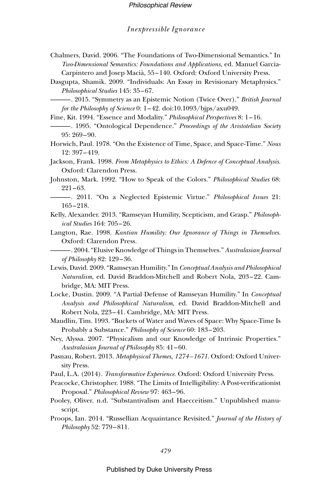- Chalmers, David. 2006. "The Foundations of Two-Dimensional Semantics." In Two-Dimensional Semantics: Foundations and Applications, ed. Manuel Garcia-Carpintero and Josep Macia`, 55 –140. Oxford: Oxford University Press.
- Dasgupta, Shamik. 2009. "Individuals: An Essay in Revisionary Metaphysics." Philosophical Studies 145: 35 –67.

- 2015. "Symmetry as an Epistemic Notion (Twice Over)." British Journal for the Philosophy of Science 0: 1–42. doi:10.1093/bjps/axu049.

- Fine, Kit. 1994. "Essence and Modality." Philosophical Perspectives 8: 1–16.
- **———.** 1995. "Ontological Dependence." Proceedings of the Aristotelian Society 95: 269 –90.
- Horwich, Paul. 1978. "On the Existence of Time, Space, and Space-Time." Nous 12: 397 –419.
- Jackson, Frank. 1998. From Metaphysics to Ethics: A Defence of Conceptual Analysis. Oxford: Clarendon Press.
- Johnston, Mark. 1992. "How to Speak of the Colors." Philosophical Studies 68: 221–63.
	- 2011. "On a Neglected Epistemic Virtue." Philosophical Issues 21: 165–218.
- Kelly, Alexander. 2013. "Ramseyan Humility, Scepticism, and Grasp." Philosophical Studies 164: 705–26.
- Langton, Rae. 1998. Kantian Humility: Our Ignorance of Things in Themselves. Oxford: Clarendon Press.
	- 2004. "Elusive Knowledge of Things in Themselves." Australasian Journal of Philosophy 82: 129 –36.
- Lewis, David. 2009. "Ramseyan Humility." In Conceptual Analysis and Philosophical Naturalism, ed. David Braddon-Mitchell and Robert Nola, 203-22. Cambridge, MA: MIT Press.
- Locke, Dustin. 2009. "A Partial Defense of Ramseyan Humility." In Conceptual Analysis and Philosophical Naturalism, ed. David Braddon-Mitchell and Robert Nola, 223 –41. Cambridge, MA: MIT Press.
- Maudlin, Tim. 1993. "Buckets of Water and Waves of Space: Why Space-Time Is Probably a Substance." Philosophy of Science 60: 183–203.
- Ney, Alyssa. 2007. "Physicalism and our Knowledge of Intrinsic Properties." Australasian Journal of Philosophy 85: 41–60.
- Pasnau, Robert. 2013. Metaphysical Themes, 1274 –1671. Oxford: Oxford University Press.
- Paul, L.A. (2014). Transformative Experience. Oxford: Oxford University Press.

Peacocke, Christopher. 1988. "The Limits of Intelligibility: A Post-verificationist Proposal." Philosophical Review 97: 463 –96.

- Pooley, Oliver. n.d. "Substantivalism and Haecceitism." Unpublished manuscript.
- Proops, Ian. 2014. "Russellian Acquaintance Revisited." Journal of the History of Philosophy 52: 779-811.